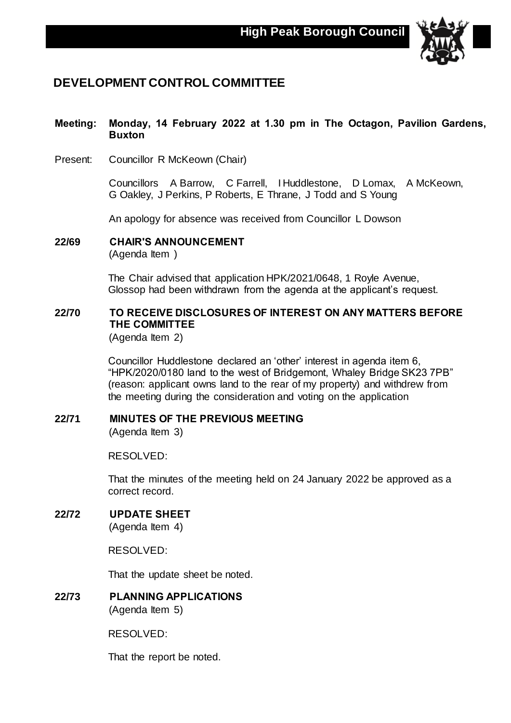

## **DEVELOPMENT CONTROL COMMITTEE**

#### **Meeting: Monday, 14 February 2022 at 1.30 pm in The Octagon, Pavilion Gardens, Buxton**

Present: Councillor R McKeown (Chair)

Councillors A Barrow, C Farrell, I Huddlestone, D Lomax, A McKeown, G Oakley, J Perkins, P Roberts, E Thrane, J Todd and S Young

An apology for absence was received from Councillor L Dowson

**22/69 CHAIR'S ANNOUNCEMENT**

(Agenda Item )

The Chair advised that application HPK/2021/0648, 1 Royle Avenue, Glossop had been withdrawn from the agenda at the applicant's request.

### **22/70 TO RECEIVE DISCLOSURES OF INTEREST ON ANY MATTERS BEFORE THE COMMITTEE**

(Agenda Item 2)

Councillor Huddlestone declared an 'other' interest in agenda item 6, "HPK/2020/0180 land to the west of Bridgemont, Whaley Bridge SK23 7PB" (reason: applicant owns land to the rear of my property) and withdrew from the meeting during the consideration and voting on the application

#### **22/71 MINUTES OF THE PREVIOUS MEETING**

(Agenda Item 3)

#### RESOLVED:

That the minutes of the meeting held on 24 January 2022 be approved as a correct record.

## **22/72 UPDATE SHEET**

(Agenda Item 4)

RESOLVED:

That the update sheet be noted.

**22/73 PLANNING APPLICATIONS** (Agenda Item 5)

RESOLVED:

That the report be noted.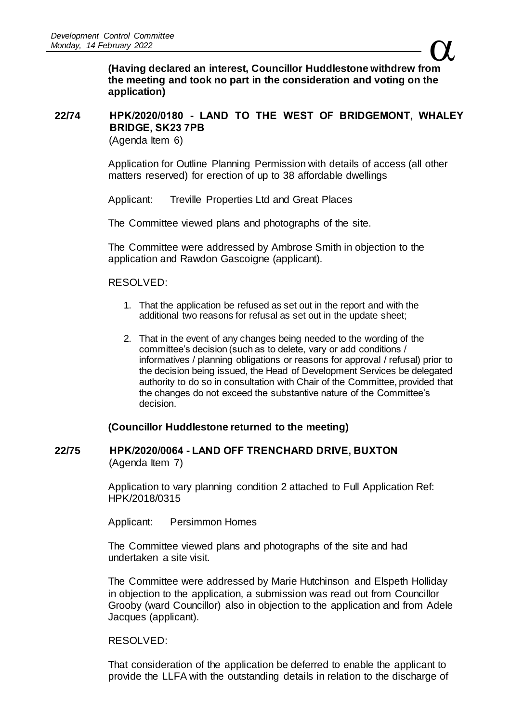$\alpha$ **(Having declared an interest, Councillor Huddlestone withdrew from the meeting and took no part in the consideration and voting on the application)**

## **22/74 HPK/2020/0180 - LAND TO THE WEST OF BRIDGEMONT, WHALEY BRIDGE, SK23 7PB**

(Agenda Item 6)

Application for Outline Planning Permission with details of access (all other matters reserved) for erection of up to 38 affordable dwellings

Applicant: Treville Properties Ltd and Great Places

The Committee viewed plans and photographs of the site.

The Committee were addressed by Ambrose Smith in objection to the application and Rawdon Gascoigne (applicant).

#### RESOLVED:

- 1. That the application be refused as set out in the report and with the additional two reasons for refusal as set out in the update sheet;
- 2. That in the event of any changes being needed to the wording of the committee's decision (such as to delete, vary or add conditions / informatives / planning obligations or reasons for approval / refusal) prior to the decision being issued, the Head of Development Services be delegated authority to do so in consultation with Chair of the Committee, provided that the changes do not exceed the substantive nature of the Committee's decision.

#### **(Councillor Huddlestone returned to the meeting)**

#### **22/75 HPK/2020/0064 - LAND OFF TRENCHARD DRIVE, BUXTON** (Agenda Item 7)

Application to vary planning condition 2 attached to Full Application Ref: HPK/2018/0315

Applicant: Persimmon Homes

The Committee viewed plans and photographs of the site and had undertaken a site visit.

The Committee were addressed by Marie Hutchinson and Elspeth Holliday in objection to the application, a submission was read out from Councillor Grooby (ward Councillor) also in objection to the application and from Adele Jacques (applicant).

#### RESOLVED:

That consideration of the application be deferred to enable the applicant to provide the LLFA with the outstanding details in relation to the discharge of